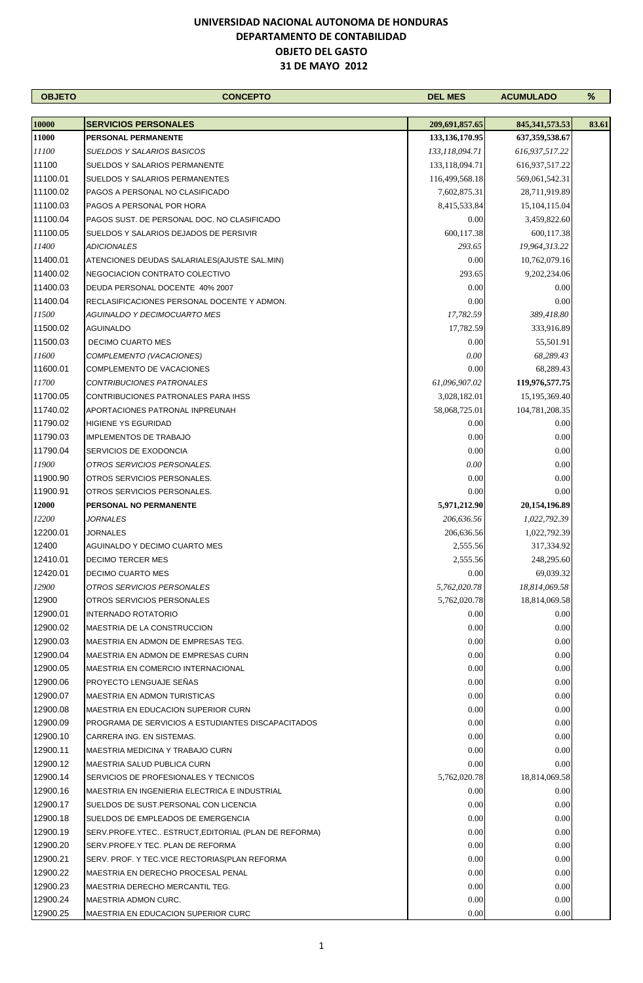| <b>OBJETO</b> | <b>CONCEPTO</b>                                      | <b>DEL MES</b>    | <b>ACUMULADO</b>  | ℅     |
|---------------|------------------------------------------------------|-------------------|-------------------|-------|
|               |                                                      |                   |                   |       |
| 10000         | <b>SERVICIOS PERSONALES</b>                          | 209,691,857.65    | 845, 341, 573. 53 | 83.61 |
| 11000         | PERSONAL PERMANENTE                                  | 133, 136, 170. 95 | 637, 359, 538. 67 |       |
| 11100         | SUELDOS Y SALARIOS BASICOS                           | 133,118,094.71    | 616,937,517.22    |       |
| 11100         | SUELDOS Y SALARIOS PERMANENTE                        | 133,118,094.71    | 616,937,517.22    |       |
| 11100.01      | SUELDOS Y SALARIOS PERMANENTES                       | 116,499,568.18    | 569,061,542.31    |       |
| 11100.02      | PAGOS A PERSONAL NO CLASIFICADO                      | 7,602,875.31      | 28,711,919.89     |       |
| 11100.03      | PAGOS A PERSONAL POR HORA                            | 8,415,533.84      | 15, 104, 115.04   |       |
| 11100.04      | PAGOS SUST. DE PERSONAL DOC. NO CLASIFICADO          | 0.00              | 3,459,822.60      |       |
| 11100.05      | SUELDOS Y SALARIOS DEJADOS DE PERSIVIR               | 600,117.38        | 600,117.38        |       |
| 11400         | ADICIONALES                                          | 293.65            | 19,964,313.22     |       |
| 11400.01      | ATENCIONES DEUDAS SALARIALES(AJUSTE SAL.MIN)         | 0.00              | 10,762,079.16     |       |
| 11400.02      | NEGOCIACION CONTRATO COLECTIVO                       | 293.65            | 9,202,234.06      |       |
| 11400.03      | DEUDA PERSONAL DOCENTE 40% 2007                      | 0.00              | 0.00              |       |
| 11400.04      | RECLASIFICACIONES PERSONAL DOCENTE Y ADMON.          | 0.00              | 0.00              |       |
| 11500         | AGUINALDO Y DECIMOCUARTO MES                         | 17,782.59         | 389,418.80        |       |
| 11500.02      | AGUINALDO                                            | 17,782.59         | 333,916.89        |       |
| 11500.03      | <b>DECIMO CUARTO MES</b>                             | 0.00              | 55,501.91         |       |
| 11600         | COMPLEMENTO (VACACIONES)                             | 0.00              | 68,289.43         |       |
| 11600.01      | COMPLEMENTO DE VACACIONES                            | 0.00              | 68,289.43         |       |
| 11700         | CONTRIBUCIONES PATRONALES                            | 61,096,907.02     | 119,976,577.75    |       |
| 11700.05      | CONTRIBUCIONES PATRONALES PARA IHSS                  | 3,028,182.01      | 15,195,369.40     |       |
| 11740.02      | APORTACIONES PATRONAL INPREUNAH                      | 58,068,725.01     | 104,781,208.35    |       |
| 11790.02      | <b>HIGIENE YS EGURIDAD</b>                           | 0.00              | 0.00              |       |
| 11790.03      | <b>IMPLEMENTOS DE TRABAJO</b>                        | 0.00              | 0.00              |       |
| 11790.04      | SERVICIOS DE EXODONCIA                               | 0.00              | 0.00              |       |
| 11900         | OTROS SERVICIOS PERSONALES.                          | 0.00              | 0.00              |       |
| 11900.90      | OTROS SERVICIOS PERSONALES.                          | 0.00              | 0.00              |       |
| 11900.91      | OTROS SERVICIOS PERSONALES.                          | 0.00              | 0.00              |       |
| <b>12000</b>  | PERSONAL NO PERMANENTE                               | 5,971,212.90      | 20,154,196.89     |       |
| 12200         | <i>JORNALES</i>                                      | 206,636.56        | 1,022,792.39      |       |
| 12200.01      | JORNALES                                             | 206,636.56        | 1,022,792.39      |       |
| 12400         | AGUINALDO Y DECIMO CUARTO MES                        | 2,555.56          | 317,334.92        |       |
| 12410.01      | <b>DECIMO TERCER MES</b>                             | 2,555.56          | 248,295.60        |       |
| 12420.01      | <b>DECIMO CUARTO MES</b>                             | 0.00              | 69,039.32         |       |
| 12900         | OTROS SERVICIOS PERSONALES                           | 5,762,020.78      | 18,814,069.58     |       |
| 12900         | OTROS SERVICIOS PERSONALES                           | 5,762,020.78      | 18,814,069.58     |       |
|               |                                                      | 0.00              | 0.00              |       |
| 12900.01      | <b>INTERNADO ROTATORIO</b>                           |                   |                   |       |
| 12900.02      | MAESTRIA DE LA CONSTRUCCION                          | 0.00              | 0.00              |       |
| 12900.03      | MAESTRIA EN ADMON DE EMPRESAS TEG.                   | 0.00              | 0.00              |       |
| 12900.04      | MAESTRIA EN ADMON DE EMPRESAS CURN                   | 0.00              | 0.00              |       |
| 12900.05      | <b>MAESTRIA EN COMERCIO INTERNACIONAL</b>            | 0.00              | 0.00              |       |
| 12900.06      | PROYECTO LENGUAJE SEÑAS                              | 0.00              | 0.00              |       |
| 12900.07      | MAESTRIA EN ADMON TURISTICAS                         | 0.00              | 0.00              |       |
| 12900.08      | <b>MAESTRIA EN EDUCACION SUPERIOR CURN</b>           | 0.00              | 0.00              |       |
| 12900.09      | PROGRAMA DE SERVICIOS A ESTUDIANTES DISCAPACITADOS   | 0.00              | 0.00              |       |
| 12900.10      | CARRERA ING. EN SISTEMAS.                            | 0.00              | 0.00              |       |
| 12900.11      | MAESTRIA MEDICINA Y TRABAJO CURN                     | 0.00              | 0.00              |       |
| 12900.12      | MAESTRIA SALUD PUBLICA CURN                          | 0.00              | 0.00              |       |
| 12900.14      | SERVICIOS DE PROFESIONALES Y TECNICOS                | 5,762,020.78      | 18,814,069.58     |       |
| 12900.16      | MAESTRIA EN INGENIERIA ELECTRICA E INDUSTRIAL        | 0.00              | 0.00              |       |
| 12900.17      | SUELDOS DE SUST.PERSONAL CON LICENCIA                | 0.00              | 0.00              |       |
| 12900.18      | SUELDOS DE EMPLEADOS DE EMERGENCIA                   | 0.00              | 0.00              |       |
| 12900.19      | SERV.PROFE.YTEC ESTRUCT, EDITORIAL (PLAN DE REFORMA) | 0.00              | 0.00              |       |
| 12900.20      | SERV.PROFE.Y TEC. PLAN DE REFORMA                    | 0.00              | 0.00              |       |
| 12900.21      | SERV. PROF. Y TEC.VICE RECTORIAS(PLAN REFORMA        | 0.00              | 0.00              |       |
| 12900.22      | MAESTRIA EN DERECHO PROCESAL PENAL                   | 0.00              | 0.00              |       |
| 12900.23      | MAESTRIA DERECHO MERCANTIL TEG.                      | 0.00              | 0.00              |       |
| 12900.24      | MAESTRIA ADMON CURC.                                 | 0.00              | 0.00              |       |
| 12900.25      | MAESTRIA EN EDUCACION SUPERIOR CURC                  | 0.00              | 0.00              |       |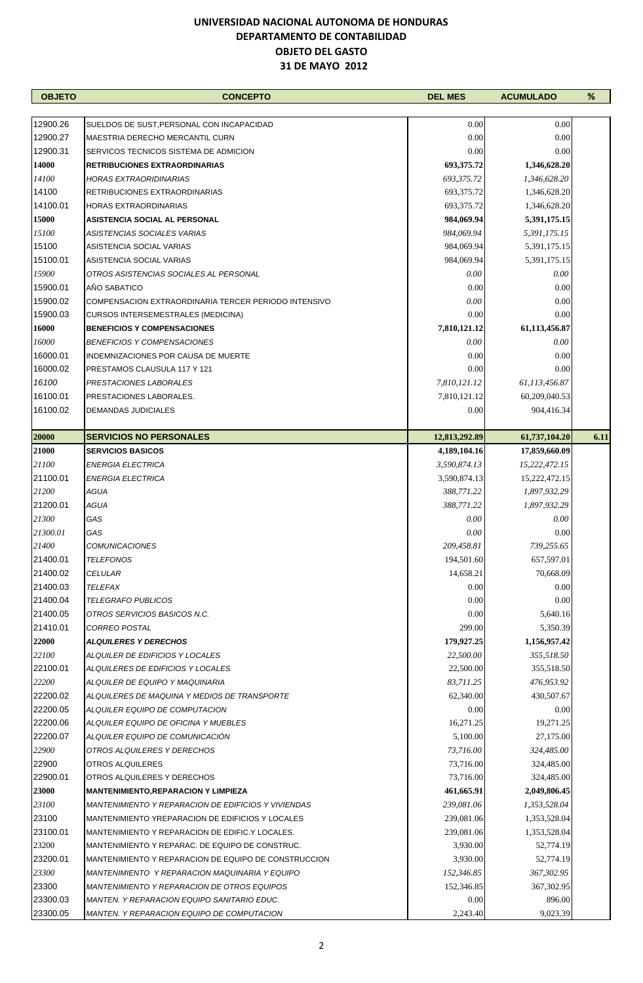| <b>OBJETO</b>        | <b>CONCEPTO</b>                                      | <b>DEL MES</b> | <b>ACUMULADO</b> | %    |
|----------------------|------------------------------------------------------|----------------|------------------|------|
|                      |                                                      |                |                  |      |
| 12900.26             | SUELDOS DE SUST, PERSONAL CON INCAPACIDAD            | 0.00           | 0.00             |      |
| 12900.27             | <b>MAESTRIA DERECHO MERCANTIL CURN</b>               | 0.00           | 0.00             |      |
| 12900.31             | SERVICOS TECNICOS SISTEMA DE ADMICION                | 0.00           | 0.00             |      |
| 14000                | <b>RETRIBUCIONES EXTRAORDINARIAS</b>                 | 693,375.72     | 1,346,628.20     |      |
| 14100                | HORAS EXTRAORIDINARIAS                               | 693,375.72     | 1,346,628.20     |      |
| 14100                | RETRIBUCIONES EXTRAORDINARIAS                        | 693,375.72     | 1,346,628.20     |      |
| 14100.01             | HORAS EXTRAORDINARIAS                                | 693,375.72     | 1,346,628.20     |      |
| 15000                | <b>ASISTENCIA SOCIAL AL PERSONAL</b>                 | 984,069.94     | 5,391,175.15     |      |
| 15100                | ASISTENCIAS SOCIALES VARIAS                          | 984,069.94     | 5,391,175.15     |      |
| 15100                | ASISTENCIA SOCIAL VARIAS                             | 984,069.94     | 5,391,175.15     |      |
| 15100.01             | ASISTENCIA SOCIAL VARIAS                             | 984,069.94     | 5,391,175.15     |      |
| <i>15900</i>         | OTROS ASISTENCIAS SOCIALES AL PERSONAL               | 0.00           | 0.00             |      |
| 15900.01             | AÑO SABATICO                                         |                | 0.00             |      |
|                      |                                                      | 0.00           |                  |      |
| 15900.02<br>15900.03 | COMPENSACION EXTRAORDINARIA TERCER PERIODO INTENSIVO | 0.00           | 0.00             |      |
|                      | <b>CURSOS INTERSEMESTRALES (MEDICINA)</b>            | 0.00           | 0.00             |      |
| 16000                | <b>BENEFICIOS Y COMPENSACIONES</b>                   | 7,810,121.12   | 61,113,456.87    |      |
| 16000                | <b>BENEFICIOS Y COMPENSACIONES</b>                   | 0.00           | 0.00             |      |
| 16000.01             | INDEMNIZACIONES POR CAUSA DE MUERTE                  | 0.00           | 0.00             |      |
| 16000.02             | PRESTAMOS CLAUSULA 117 Y 121                         | 0.00           | 0.00             |      |
| 16100                | PRESTACIONES LABORALES                               | 7,810,121.12   | 61,113,456.87    |      |
| 16100.01             | PRESTACIONES LABORALES.                              | 7,810,121.12   | 60,209,040.53    |      |
| 16100.02             | DEMANDAS JUDICIALES                                  | 0.00           | 904,416.34       |      |
|                      |                                                      |                |                  |      |
| 20000                | <b>SERVICIOS NO PERSONALES</b>                       | 12,813,292.89  | 61,737,104.20    | 6.11 |
| 21000                | <b>SERVICIOS BASICOS</b>                             | 4,189,104.16   | 17,859,660.09    |      |
| 21100                | <b>ENERGIA ELECTRICA</b>                             | 3,590,874.13   | 15,222,472.15    |      |
| 21100.01             | <b>ENERGIA ELECTRICA</b>                             | 3,590,874.13   | 15,222,472.15    |      |
| 21200                | AGUA                                                 | 388,771.22     | 1,897,932.29     |      |
| 21200.01             | AGUA                                                 | 388,771.22     | 1,897,932.29     |      |
| 21300                | GAS                                                  | 0.00           | 0.00             |      |
| 21300.01             | GAS                                                  | 0.00           | 0.00             |      |
| 21400                | <b>COMUNICACIONES</b>                                | 209,458.81     | 739,255.65       |      |
| 21400.01             | <b>TELEFONOS</b>                                     | 194,501.60     | 657,597.01       |      |
| 21400.02             | CELULAR                                              | 14,658.21      | 70,668.09        |      |
| 21400.03             | TELEFAX                                              | 0.00           | 0.00             |      |
| 21400.04             | <b>TELEGRAFO PUBLICOS</b>                            | 0.00           | 0.00             |      |
| 21400.05             | OTROS SERVICIOS BASICOS N.C.                         | 0.00           | 5,640.16         |      |
| 21410.01             | <b>CORREO POSTAL</b>                                 | 299.00         | 5,350.39         |      |
| 22000                | <b>ALQUILERES Y DERECHOS</b>                         | 179,927.25     | 1,156,957.42     |      |
| 22100                | ALQUILER DE EDIFICIOS Y LOCALES                      | 22,500.00      | 355,518.50       |      |
| 22100.01             | ALQUILERES DE EDIFICIOS Y LOCALES                    | 22,500.00      | 355,518.50       |      |
| 22200                | ALQUILER DE EQUIPO Y MAQUINARIA                      | 83,711.25      | 476,953.92       |      |
| 22200.02             | ALQUILERES DE MAQUINA Y MEDIOS DE TRANSPORTE         | 62,340.00      | 430,507.67       |      |
| 22200.05             | ALQUILER EQUIPO DE COMPUTACION                       | 0.00           | 0.00             |      |
| 22200.06             | ALQUILER EQUIPO DE OFICINA Y MUEBLES                 | 16,271.25      | 19,271.25        |      |
| 22200.07             | ALQUILER EQUIPO DE COMUNICACION                      | 5,100.00       | 27,175.00        |      |
| 22900                |                                                      | 73,716.00      | 324,485.00       |      |
|                      | OTROS ALQUILERES Y DERECHOS                          |                |                  |      |
| 22900                | OTROS ALQUILERES                                     | 73,716.00      | 324,485.00       |      |
| 22900.01             | OTROS ALQUILERES Y DERECHOS                          | 73,716.00      | 324,485.00       |      |
| 23000                | <b>MANTENIMIENTO, REPARACION Y LIMPIEZA</b>          | 461,665.91     | 2,049,806.45     |      |
| 23100                | MANTENIMIENTO Y REPARACION DE EDIFICIOS Y VIVIENDAS  | 239,081.06     | 1,353,528.04     |      |
| 23100                | MANTENIMIENTO YREPARACION DE EDIFICIOS Y LOCALES     | 239,081.06     | 1,353,528.04     |      |
| 23100.01             | MANTENIMIENTO Y REPARACION DE EDIFIC Y LOCALES.      | 239,081.06     | 1,353,528.04     |      |
| 23200                | MANTENIMIENTO Y REPARAC. DE EQUIPO DE CONSTRUC.      | 3,930.00       | 52,774.19        |      |
| 23200.01             | MANTENIMIENTO Y REPARACION DE EQUIPO DE CONSTRUCCION | 3,930.00       | 52,774.19        |      |
| 23300                | MANTENIMIENTO Y REPARACION MAQUINARIA Y EQUIPO       | 152,346.85     | 367,302.95       |      |
| 23300                | <b>MANTENIMIENTO Y REPARACION DE OTROS EQUIPOS</b>   | 152,346.85     | 367,302.95       |      |
| 23300.03             | MANTEN. Y REPARACION EQUIPO SANITARIO EDUC.          | 0.00           | 896.00           |      |
| 23300.05             | MANTEN. Y REPARACION EQUIPO DE COMPUTACION           | 2,243.40       | 9,023.39         |      |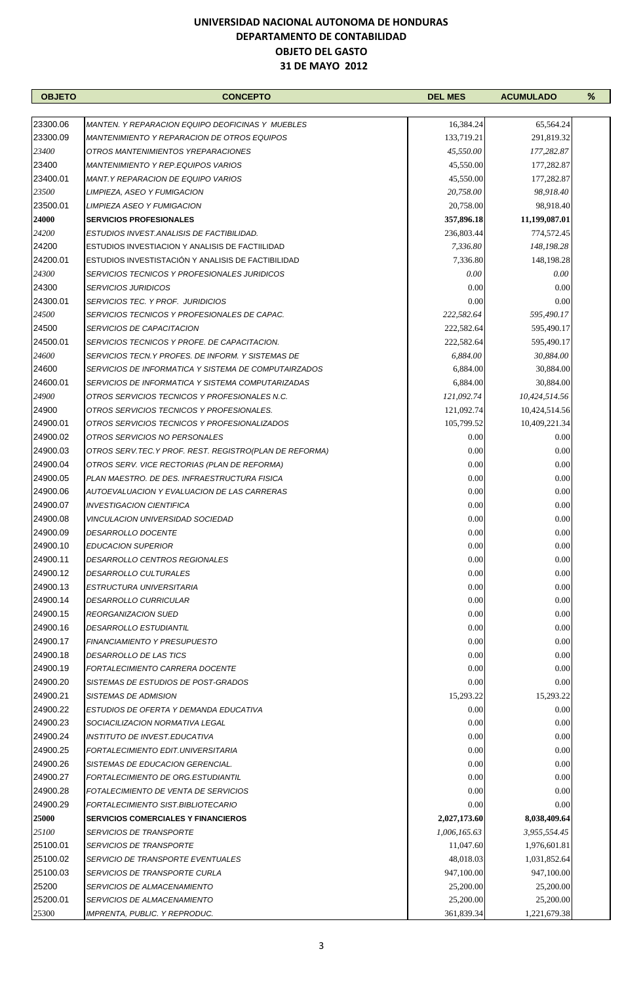| <b>OBJETO</b> | <b>CONCEPTO</b>                                        | <b>DEL MES</b> | <b>ACUMULADO</b> | % |
|---------------|--------------------------------------------------------|----------------|------------------|---|
|               |                                                        |                |                  |   |
| 23300.06      | MANTEN. Y REPARACION EQUIPO DEOFICINAS Y MUEBLES       | 16,384.24      | 65,564.24        |   |
| 23300.09      | MANTENIMIENTO Y REPARACION DE OTROS EQUIPOS            | 133,719.21     | 291,819.32       |   |
| 23400         | OTROS MANTENIMIENTOS YREPARACIONES                     | 45,550.00      | 177,282.87       |   |
| 23400         | <b>MANTENIMIENTO Y REP.EQUIPOS VARIOS</b>              | 45,550.00      | 177,282.87       |   |
| 23400.01      | <i>MANT.Y REPARACION DE EQUIPO VARIOS</i>              | 45,550.00      | 177,282.87       |   |
| 23500         | LIMPIEZA, ASEO Y FUMIGACION                            | 20,758.00      | 98,918.40        |   |
| 23500.01      | <b>LIMPIEZA ASEO Y FUMIGACION</b>                      | 20,758.00      | 98,918.40        |   |
| 24000         | <b>SERVICIOS PROFESIONALES</b>                         | 357,896.18     | 11,199,087.01    |   |
| 24200         | ESTUDIOS INVEST.ANALISIS DE FACTIBILIDAD.              | 236,803.44     | 774,572.45       |   |
| 24200         | ESTUDIOS INVESTIACION Y ANALISIS DE FACTIILIDAD        | 7,336.80       | 148,198.28       |   |
| 24200.01      | ESTUDIOS INVESTISTACIÓN Y ANALISIS DE FACTIBILIDAD     | 7,336.80       | 148,198.28       |   |
| 24300         | SERVICIOS TECNICOS Y PROFESIONALES JURIDICOS           | 0.00           | 0.00             |   |
| 24300         | <b>SERVICIOS JURIDICOS</b>                             | 0.00           | 0.00             |   |
| 24300.01      | <b>SERVICIOS TEC. Y PROF. JURIDICIOS</b>               | 0.00           | 0.00             |   |
| 24500         | SERVICIOS TECNICOS Y PROFESIONALES DE CAPAC.           | 222,582.64     |                  |   |
| 24500         | <i><b>SERVICIOS DE CAPACITACION</b></i>                |                | 595,490.17       |   |
|               |                                                        | 222,582.64     | 595,490.17       |   |
| 24500.01      | SERVICIOS TECNICOS Y PROFE. DE CAPACITACION.           | 222,582.64     | 595,490.17       |   |
| 24600         | SERVICIOS TECN.Y PROFES. DE INFORM. Y SISTEMAS DE      | 6,884.00       | 30,884.00        |   |
| 24600         | SERVICIOS DE INFORMATICA Y SISTEMA DE COMPUTAIRZADOS   | 6,884.00       | 30,884.00        |   |
| 24600.01      | SERVICIOS DE INFORMATICA Y SISTEMA COMPUTARIZADAS      | 6,884.00       | 30,884.00        |   |
| 24900         | OTROS SERVICIOS TECNICOS Y PROFESIONALES N.C.          | 121,092.74     | 10,424,514.56    |   |
| 24900         | OTROS SERVICIOS TECNICOS Y PROFESIONALES.              | 121,092.74     | 10,424,514.56    |   |
| 24900.01      | OTROS SERVICIOS TECNICOS Y PROFESIONALIZADOS           | 105,799.52     | 10,409,221.34    |   |
| 24900.02      | OTROS SERVICIOS NO PERSONALES                          | 0.00           | 0.00             |   |
| 24900.03      | OTROS SERV.TEC.Y PROF. REST. REGISTRO(PLAN DE REFORMA) | 0.00           | 0.00             |   |
| 24900.04      | OTROS SERV. VICE RECTORIAS (PLAN DE REFORMA)           | 0.00           | 0.00             |   |
| 24900.05      | PLAN MAESTRO. DE DES. INFRAESTRUCTURA FISICA           | 0.00           | 0.00             |   |
| 24900.06      | AUTOEVALUACION Y EVALUACION DE LAS CARRERAS            | 0.00           | 0.00             |   |
| 24900.07      | <i><b>INVESTIGACION CIENTIFICA</b></i>                 | 0.00           | 0.00             |   |
| 24900.08      | <b>VINCULACION UNIVERSIDAD SOCIEDAD</b>                | 0.00           | 0.00             |   |
| 24900.09      | <b>DESARROLLO DOCENTE</b>                              | 0.00           | 0.00             |   |
| 24900.10      | <b>EDUCACION SUPERIOR</b>                              | 0.00           | 0.00             |   |
| 24900.11      | DESARROLLO CENTROS REGIONALES                          | $0.00\,$       | $0.00\,$         |   |
| 24900.12      | <i>DESARROLLO CULTURALES</i>                           | 0.00           | 0.00             |   |
| 24900.13      | ESTRUCTURA UNIVERSITARIA                               | 0.00           | 0.00             |   |
| 24900.14      | <i>DESARROLLO CURRICULAR</i>                           | 0.00           | 0.00             |   |
| 24900.15      | REORGANIZACION SUED                                    | 0.00           | 0.00             |   |
| 24900.16      | DESARROLLO ESTUDIANTIL                                 | 0.00           | 0.00             |   |
| 24900.17      | FINANCIAMIENTO Y PRESUPUESTO                           | 0.00           | 0.00             |   |
| 24900.18      | <i><b>DESARROLLO DE LAS TICS</b></i>                   | 0.00           | 0.00             |   |
| 24900.19      | FORTALECIMIENTO CARRERA DOCENTE                        | 0.00           | 0.00             |   |
| 24900.20      | SISTEMAS DE ESTUDIOS DE POST-GRADOS                    | 0.00           | 0.00             |   |
| 24900.21      | SISTEMAS DE ADMISION                                   | 15,293.22      | 15,293.22        |   |
| 24900.22      | ESTUDIOS DE OFERTA Y DEMANDA EDUCATIVA                 | 0.00           | 0.00             |   |
| 24900.23      | SOCIACILIZACION NORMATIVA LEGAL                        | 0.00           | 0.00             |   |
| 24900.24      | INSTITUTO DE INVEST.EDUCATIVA                          | 0.00           | 0.00             |   |
|               |                                                        |                |                  |   |
| 24900.25      | FORTALECIMIENTO EDIT.UNIVERSITARIA                     | 0.00           | 0.00             |   |
| 24900.26      | SISTEMAS DE EDUCACION GERENCIAL.                       | 0.00           | 0.00             |   |
| 24900.27      | FORTALECIMIENTO DE ORG.ESTUDIANTIL                     | 0.00           | 0.00             |   |
| 24900.28      | FOTALECIMIENTO DE VENTA DE SERVICIOS                   | 0.00           | 0.00             |   |
| 24900.29      | FORTALECIMIENTO SIST.BIBLIOTECARIO                     | 0.00           | 0.00             |   |
| 25000         | <b>SERVICIOS COMERCIALES Y FINANCIEROS</b>             | 2,027,173.60   | 8,038,409.64     |   |
| 25100         | <i>SERVICIOS DE TRANSPORTE</i>                         | 1,006,165.63   | 3,955,554.45     |   |
| 25100.01      | <i>SERVICIOS DE TRANSPORTE</i>                         | 11,047.60      | 1,976,601.81     |   |
| 25100.02      | <i>SERVICIO DE TRANSPORTE EVENTUALES</i>               | 48,018.03      | 1,031,852.64     |   |
| 25100.03      | <i>SERVICIOS DE TRANSPORTE CURLA</i>                   | 947,100.00     | 947,100.00       |   |
| 25200         | <i>SERVICIOS DE ALMACENAMIENTO</i>                     | 25,200.00      | 25,200.00        |   |
| 25200.01      | SERVICIOS DE ALMACENAMIENTO                            | 25,200.00      | 25,200.00        |   |
| 25300         | IMPRENTA, PUBLIC. Y REPRODUC.                          | 361,839.34     | 1,221,679.38     |   |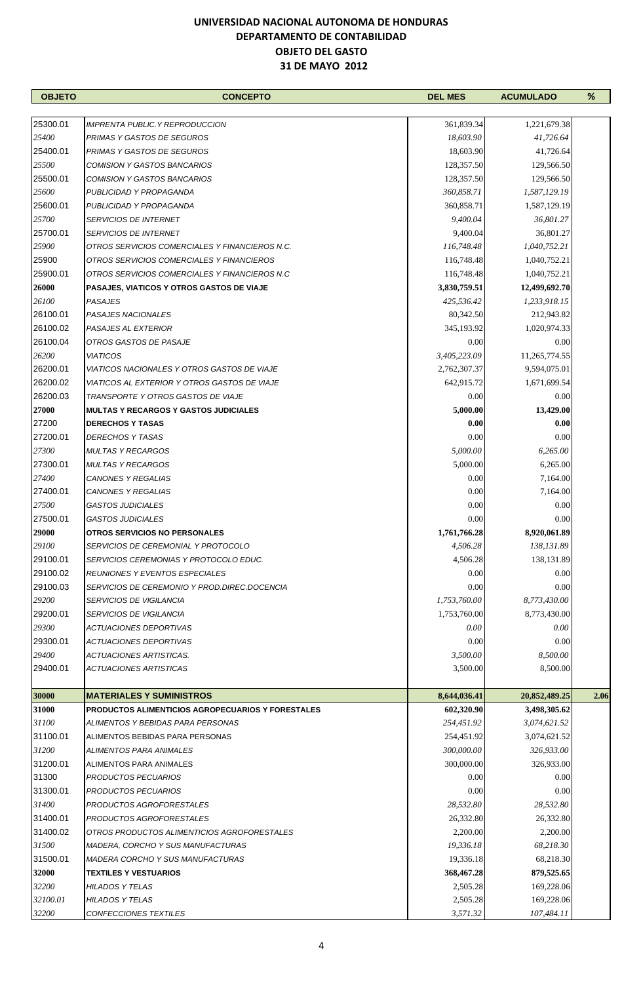| <b>OBJETO</b> | <b>CONCEPTO</b>                                          | <b>DEL MES</b> | <b>ACUMULADO</b> | %    |
|---------------|----------------------------------------------------------|----------------|------------------|------|
|               |                                                          |                |                  |      |
| 25300.01      | <b>IMPRENTA PUBLIC.Y REPRODUCCION</b>                    | 361,839.34     | 1,221,679.38     |      |
| 25400         | PRIMAS Y GASTOS DE SEGUROS                               | 18,603.90      | 41,726.64        |      |
| 25400.01      | PRIMAS Y GASTOS DE SEGUROS                               | 18,603.90      | 41,726.64        |      |
| 25500         | COMISION Y GASTOS BANCARIOS                              | 128,357.50     | 129,566.50       |      |
| 25500.01      | COMISION Y GASTOS BANCARIOS                              | 128,357.50     | 129,566.50       |      |
| 25600         | PUBLICIDAD Y PROPAGANDA                                  | 360,858.71     | 1,587,129.19     |      |
| 25600.01      | PUBLICIDAD Y PROPAGANDA                                  | 360,858.71     | 1,587,129.19     |      |
| 25700         | <i>SERVICIOS DE INTERNET</i>                             | 9,400.04       | 36,801.27        |      |
| 25700.01      | <i>SERVICIOS DE INTERNET</i>                             | 9,400.04       | 36,801.27        |      |
| 25900         | OTROS SERVICIOS COMERCIALES Y FINANCIEROS N.C.           | 116,748.48     | 1,040,752.21     |      |
| 25900         | OTROS SERVICIOS COMERCIALES Y FINANCIEROS                | 116,748.48     | 1,040,752.21     |      |
| 25900.01      | OTROS SERVICIOS COMERCIALES Y FINANCIEROS N.C            | 116,748.48     | 1,040,752.21     |      |
| 26000         | PASAJES, VIATICOS Y OTROS GASTOS DE VIAJE                | 3,830,759.51   | 12,499,692.70    |      |
| 26100         | PASAJES                                                  | 425,536.42     | 1,233,918.15     |      |
| 26100.01      | PASAJES NACIONALES                                       | 80,342.50      | 212,943.82       |      |
| 26100.02      | PASAJES AL EXTERIOR                                      | 345,193.92     | 1,020,974.33     |      |
| 26100.04      | OTROS GASTOS DE PASAJE                                   | 0.00           | 0.00             |      |
| 26200         | <b>VIATICOS</b>                                          | 3,405,223.09   | 11,265,774.55    |      |
| 26200.01      | VIATICOS NACIONALES Y OTROS GASTOS DE VIAJE              | 2,762,307.37   | 9,594,075.01     |      |
| 26200.02      | VIATICOS AL EXTERIOR Y OTROS GASTOS DE VIAJE             | 642,915.72     | 1,671,699.54     |      |
| 26200.03      | TRANSPORTE Y OTROS GASTOS DE VIAJE                       | 0.00           | 0.00             |      |
| 27000         | <b>MULTAS Y RECARGOS Y GASTOS JUDICIALES</b>             | 5,000.00       | 13,429.00        |      |
| 27200         | <b>DERECHOS Y TASAS</b>                                  | 0.00           | 0.00             |      |
| 27200.01      | DERECHOS Y TASAS                                         | 0.00           | 0.00             |      |
| 27300         | <b>MULTAS Y RECARGOS</b>                                 | 5,000.00       | 6,265.00         |      |
| 27300.01      | <b>MULTAS Y RECARGOS</b>                                 | 5,000.00       | 6,265.00         |      |
| 27400         | CANONES Y REGALIAS                                       | 0.00           | 7,164.00         |      |
| 27400.01      | CANONES Y REGALIAS                                       | 0.00           | 7,164.00         |      |
| 27500         | <b>GASTOS JUDICIALES</b>                                 | 0.00           | 0.00             |      |
| 27500.01      | <b>GASTOS JUDICIALES</b>                                 | 0.00           | 0.00             |      |
| 29000         | OTROS SERVICIOS NO PERSONALES                            | 1,761,766.28   | 8,920,061.89     |      |
| 29100         | SERVICIOS DE CEREMONIAL Y PROTOCOLO                      | 4,506.28       | 138,131.89       |      |
| 29100.01      | SERVICIOS CEREMONIAS Y PROTOCOLO EDUC.                   | 4,506.28       | 138,131.89       |      |
| 29100.02      | REUNIONES Y EVENTOS ESPECIALES                           | 0.00           | 0.00             |      |
| 29100.03      | SERVICIOS DE CEREMONIO Y PROD.DIREC.DOCENCIA             | 0.00           | 0.00             |      |
| 29200         | <b>SERVICIOS DE VIGILANCIA</b>                           | 1,753,760.00   | 8,773,430.00     |      |
| 29200.01      | <b>SERVICIOS DE VIGILANCIA</b>                           | 1,753,760.00   | 8,773,430.00     |      |
| 29300         | ACTUACIONES DEPORTIVAS                                   | 0.00           | 0.00             |      |
| 29300.01      | ACTUACIONES DEPORTIVAS                                   | 0.00           | 0.00             |      |
| 29400         | ACTUACIONES ARTISTICAS.                                  | 3,500.00       | 8,500.00         |      |
| 29400.01      | ACTUACIONES ARTISTICAS                                   | 3,500.00       | 8,500.00         |      |
| 30000         | <b>MATERIALES Y SUMINISTROS</b>                          | 8,644,036.41   | 20,852,489.25    | 2.06 |
| 31000         | <b>PRODUCTOS ALIMENTICIOS AGROPECUARIOS Y FORESTALES</b> | 602,320.90     | 3,498,305.62     |      |
| 31100         | ALIMENTOS Y BEBIDAS PARA PERSONAS                        | 254,451.92     | 3,074,621.52     |      |
| 31100.01      | ALIMENTOS BEBIDAS PARA PERSONAS                          | 254,451.92     | 3,074,621.52     |      |
| 31200         | ALIMENTOS PARA ANIMALES                                  | 300,000.00     | 326,933.00       |      |
| 31200.01      | ALIMENTOS PARA ANIMALES                                  | 300,000.00     | 326,933.00       |      |
| 31300         | PRODUCTOS PECUARIOS                                      | 0.00           | 0.00             |      |
| 31300.01      | PRODUCTOS PECUARIOS                                      | 0.00           | 0.00             |      |
| 31400         | PRODUCTOS AGROFORESTALES                                 | 28,532.80      | 28,532.80        |      |
| 31400.01      | PRODUCTOS AGROFORESTALES                                 | 26,332.80      | 26,332.80        |      |
| 31400.02      | OTROS PRODUCTOS ALIMENTICIOS AGROFORESTALES              | 2,200.00       | 2,200.00         |      |
| 31500         | MADERA, CORCHO Y SUS MANUFACTURAS                        | 19,336.18      | 68,218.30        |      |
| 31500.01      | <b>MADERA CORCHO Y SUS MANUFACTURAS</b>                  | 19,336.18      | 68,218.30        |      |
| 32000         | <b>TEXTILES Y VESTUARIOS</b>                             | 368,467.28     | 879,525.65       |      |
| 32200         | HILADOS Y TELAS                                          | 2,505.28       | 169,228.06       |      |
| 32100.01      | <b>HILADOS Y TELAS</b>                                   | 2,505.28       | 169,228.06       |      |
| 32200         | CONFECCIONES TEXTILES                                    | 3,571.32       | 107,484.11       |      |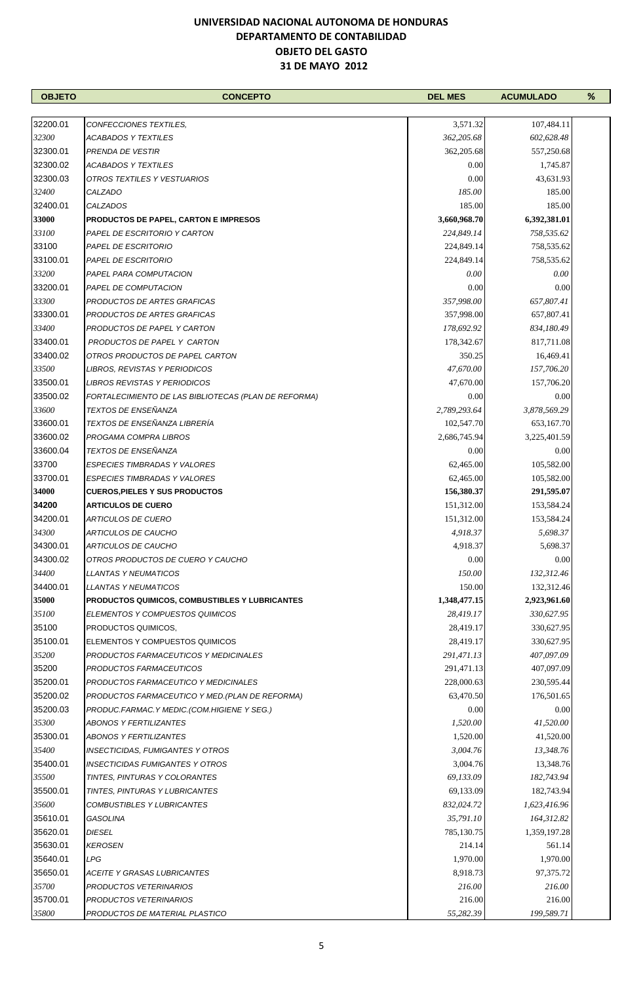| <b>OBJETO</b> | <b>CONCEPTO</b>                                       | <b>DEL MES</b> | <b>ACUMULADO</b> | % |
|---------------|-------------------------------------------------------|----------------|------------------|---|
|               |                                                       |                |                  |   |
| 32200.01      | CONFECCIONES TEXTILES,                                | 3,571.32       | 107,484.11       |   |
| 32300         | <b>ACABADOS Y TEXTILES</b>                            | 362,205.68     | 602,628.48       |   |
| 32300.01      | PRENDA DE VESTIR                                      | 362,205.68     | 557,250.68       |   |
| 32300.02      | <b>ACABADOS Y TEXTILES</b>                            | 0.00           | 1,745.87         |   |
| 32300.03      | OTROS TEXTILES Y VESTUARIOS                           | 0.00           | 43,631.93        |   |
| 32400         | CALZADO                                               | 185.00         | 185.00           |   |
| 32400.01      | <b>CALZADOS</b>                                       | 185.00         | 185.00           |   |
| 33000         | <b>PRODUCTOS DE PAPEL, CARTON E IMPRESOS</b>          | 3,660,968.70   | 6,392,381.01     |   |
| 33100         | PAPEL DE ESCRITORIO Y CARTON                          | 224,849.14     | 758,535.62       |   |
| 33100         | PAPEL DE ESCRITORIO                                   | 224,849.14     | 758,535.62       |   |
| 33100.01      | PAPEL DE ESCRITORIO                                   | 224,849.14     | 758,535.62       |   |
| 33200         | PAPEL PARA COMPUTACION                                | 0.00           | 0.00             |   |
| 33200.01      | PAPEL DE COMPUTACION                                  | 0.00           | 0.00             |   |
| 33300         | PRODUCTOS DE ARTES GRAFICAS                           | 357,998.00     | 657,807.41       |   |
| 33300.01      | PRODUCTOS DE ARTES GRAFICAS                           | 357,998.00     | 657,807.41       |   |
| 33400         | PRODUCTOS DE PAPEL Y CARTON                           | 178,692.92     | 834,180.49       |   |
| 33400.01      | PRODUCTOS DE PAPEL Y CARTON                           | 178,342.67     | 817,711.08       |   |
| 33400.02      | OTROS PRODUCTOS DE PAPEL CARTON                       | 350.25         | 16,469.41        |   |
| 33500         | LIBROS, REVISTAS Y PERIODICOS                         | 47,670.00      | 157,706.20       |   |
| 33500.01      | LIBROS REVISTAS Y PERIODICOS                          | 47,670.00      | 157,706.20       |   |
| 33500.02      | FORTALECIMIENTO DE LAS BIBLIOTECAS (PLAN DE REFORMA)  | 0.00           | 0.00             |   |
| 33600         | TEXTOS DE ENSEÑANZA                                   | 2,789,293.64   | 3,878,569.29     |   |
| 33600.01      | TEXTOS DE ENSEÑANZA LIBRERÍA                          | 102,547.70     | 653,167.70       |   |
| 33600.02      | PROGAMA COMPRA LIBROS                                 | 2,686,745.94   | 3,225,401.59     |   |
| 33600.04      | <b>TEXTOS DE ENSEÑANZA</b>                            | 0.00           | 0.00             |   |
| 33700         | <b>ESPECIES TIMBRADAS Y VALORES</b>                   | 62,465.00      | 105,582.00       |   |
| 33700.01      | <b>ESPECIES TIMBRADAS Y VALORES</b>                   | 62,465.00      | 105,582.00       |   |
| 34000         | <b>CUEROS, PIELES Y SUS PRODUCTOS</b>                 | 156,380.37     | 291,595.07       |   |
| 34200         | <b>ARTICULOS DE CUERO</b>                             | 151,312.00     | 153,584.24       |   |
| 34200.01      | <b>ARTICULOS DE CUERO</b>                             | 151,312.00     | 153,584.24       |   |
| 34300         | <b>ARTICULOS DE CAUCHO</b>                            | 4,918.37       | 5,698.37         |   |
| 34300.01      | ARTICULOS DE CAUCHO                                   | 4,918.37       | 5,698.37         |   |
| 34300.02      | OTROS PRODUCTOS DE CUERO Y CAUCHO                     | $0.00\,$       | $0.00\,$         |   |
| 34400         | <b>LLANTAS Y NEUMATICOS</b>                           | 150.00         | 132,312.46       |   |
| 34400.01      | <i>LLANTAS Y NEUMATICOS</i>                           | 150.00         | 132,312.46       |   |
| 35000         | <b>PRODUCTOS QUIMICOS, COMBUSTIBLES Y LUBRICANTES</b> | 1,348,477.15   | 2,923,961.60     |   |
| 35100         | ELEMENTOS Y COMPUESTOS QUIMICOS                       | 28,419.17      | 330,627.95       |   |
| 35100         | PRODUCTOS QUIMICOS,                                   | 28,419.17      | 330,627.95       |   |
| 35100.01      | ELEMENTOS Y COMPUESTOS QUIMICOS                       | 28,419.17      | 330,627.95       |   |
| 35200         | PRODUCTOS FARMACEUTICOS Y MEDICINALES                 | 291,471.13     | 407,097.09       |   |
| 35200         | PRODUCTOS FARMACEUTICOS                               | 291,471.13     | 407,097.09       |   |
| 35200.01      | PRODUCTOS FARMACEUTICO Y MEDICINALES                  | 228,000.63     | 230,595.44       |   |
| 35200.02      | PRODUCTOS FARMACEUTICO Y MED. (PLAN DE REFORMA)       | 63,470.50      | 176,501.65       |   |
| 35200.03      | PRODUC.FARMAC.Y MEDIC.(COM.HIGIENE Y SEG.)            | 0.00           | 0.00             |   |
| 35300         | <b>ABONOS Y FERTILIZANTES</b>                         | 1,520.00       | 41,520.00        |   |
| 35300.01      | <b>ABONOS Y FERTILIZANTES</b>                         | 1,520.00       | 41,520.00        |   |
| 35400         | <b>INSECTICIDAS, FUMIGANTES Y OTROS</b>               | 3,004.76       | 13,348.76        |   |
| 35400.01      | <b>INSECTICIDAS FUMIGANTES Y OTROS</b>                | 3,004.76       | 13,348.76        |   |
| 35500         | TINTES, PINTURAS Y COLORANTES                         | 69,133.09      | 182,743.94       |   |
| 35500.01      | TINTES, PINTURAS Y LUBRICANTES                        | 69,133.09      | 182,743.94       |   |
| 35600         | COMBUSTIBLES Y LUBRICANTES                            | 832,024.72     | 1,623,416.96     |   |
| 35610.01      | GASOLINA                                              | 35,791.10      | 164,312.82       |   |
| 35620.01      | <b>DIESEL</b>                                         | 785,130.75     | 1,359,197.28     |   |
| 35630.01      | <b>KEROSEN</b>                                        | 214.14         | 561.14           |   |
| 35640.01      | <b>LPG</b>                                            | 1,970.00       | 1,970.00         |   |
| 35650.01      | <b>ACEITE Y GRASAS LUBRICANTES</b>                    | 8,918.73       | 97,375.72        |   |
| 35700         | PRODUCTOS VETERINARIOS                                | 216.00         | 216.00           |   |
| 35700.01      | PRODUCTOS VETERINARIOS                                | 216.00         | 216.00           |   |
| 35800         | PRODUCTOS DE MATERIAL PLASTICO                        | 55,282.39      | 199,589.71       |   |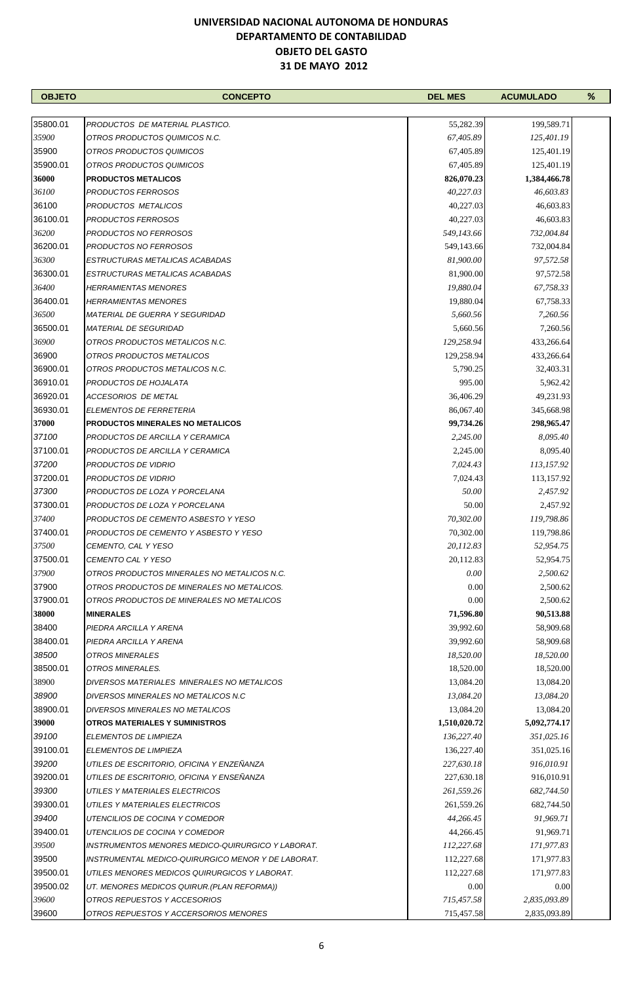| <b>OBJETO</b> | <b>CONCEPTO</b>                                         | <b>DEL MES</b>     | <b>ACUMULADO</b>      | % |
|---------------|---------------------------------------------------------|--------------------|-----------------------|---|
|               |                                                         |                    |                       |   |
| 35800.01      | PRODUCTOS DE MATERIAL PLASTICO.                         | 55,282.39          | 199,589.71            |   |
| 35900         | OTROS PRODUCTOS QUIMICOS N.C.                           | 67,405.89          | 125,401.19            |   |
| 35900         | OTROS PRODUCTOS QUIMICOS                                | 67,405.89          | 125,401.19            |   |
| 35900.01      | OTROS PRODUCTOS QUIMICOS                                | 67,405.89          | 125,401.19            |   |
| 36000         | <b>PRODUCTOS METALICOS</b>                              | 826,070.23         | 1,384,466.78          |   |
| 36100         | PRODUCTOS FERROSOS                                      | 40,227.03          | 46,603.83             |   |
| 36100         | PRODUCTOS METALICOS                                     | 40,227.03          | 46,603.83             |   |
| 36100.01      | PRODUCTOS FERROSOS                                      | 40,227.03          | 46,603.83             |   |
| 36200         | PRODUCTOS NO FERROSOS                                   | 549,143.66         | 732,004.84            |   |
| 36200.01      | PRODUCTOS NO FERROSOS                                   | 549,143.66         | 732,004.84            |   |
| 36300         | ESTRUCTURAS METALICAS ACABADAS                          | 81,900.00          | 97,572.58             |   |
| 36300.01      | ESTRUCTURAS METALICAS ACABADAS                          | 81,900.00          | 97,572.58             |   |
| 36400         | <b>HERRAMIENTAS MENORES</b>                             | 19,880.04          | 67,758.33             |   |
| 36400.01      | <b>HERRAMIENTAS MENORES</b>                             | 19,880.04          | 67,758.33             |   |
| 36500         | <b>MATERIAL DE GUERRA Y SEGURIDAD</b>                   | 5,660.56           | 7,260.56              |   |
| 36500.01      | <i>MATERIAL DE SEGURIDAD</i>                            | 5,660.56           | 7,260.56              |   |
| 36900         | OTROS PRODUCTOS METALICOS N.C.                          | 129,258.94         | 433,266.64            |   |
| 36900         | OTROS PRODUCTOS METALICOS                               | 129,258.94         | 433,266.64            |   |
| 36900.01      |                                                         |                    |                       |   |
| 36910.01      | OTROS PRODUCTOS METALICOS N.C.<br>PRODUCTOS DE HOJALATA | 5,790.25<br>995.00 | 32,403.31<br>5,962.42 |   |
|               |                                                         |                    |                       |   |
| 36920.01      | ACCESORIOS DE METAL                                     | 36,406.29          | 49,231.93             |   |
| 36930.01      | ELEMENTOS DE FERRETERIA                                 | 86,067.40          | 345,668.98            |   |
| 37000         | <b>PRODUCTOS MINERALES NO METALICOS</b>                 | 99,734.26          | 298,965.47            |   |
| 37100         | PRODUCTOS DE ARCILLA Y CERAMICA                         | 2,245.00           | 8,095.40              |   |
| 37100.01      | PRODUCTOS DE ARCILLA Y CERAMICA                         | 2,245.00           | 8,095.40              |   |
| 37200         | PRODUCTOS DE VIDRIO                                     | 7,024.43           | 113,157.92            |   |
| 37200.01      | PRODUCTOS DE VIDRIO                                     | 7,024.43           | 113,157.92            |   |
| 37300         | PRODUCTOS DE LOZA Y PORCELANA                           | 50.00              | 2,457.92              |   |
| 37300.01      | PRODUCTOS DE LOZA Y PORCELANA                           | 50.00              | 2,457.92              |   |
| 37400         | PRODUCTOS DE CEMENTO ASBESTO Y YESO                     | 70,302.00          | 119,798.86            |   |
| 37400.01      | PRODUCTOS DE CEMENTO Y ASBESTO Y YESO                   | 70,302.00          | 119,798.86            |   |
| 37500         | CEMENTO, CAL Y YESO                                     | 20,112.83          | 52,954.75             |   |
| 37500.01      | CEMENTO CAL Y YESO                                      | 20,112.83          | 52,954.75             |   |
| 37900         | OTROS PRODUCTOS MINERALES NO METALICOS N.C.             | 0.00               | 2,500.62              |   |
| 37900         | OTROS PRODUCTOS DE MINERALES NO METALICOS.              | 0.00               | 2,500.62              |   |
| 37900.01      | OTROS PRODUCTOS DE MINERALES NO METALICOS               | 0.00               | 2,500.62              |   |
| 38000         | <b>MINERALES</b>                                        | 71,596.80          | 90,513.88             |   |
| 38400         | PIEDRA ARCILLA Y ARENA                                  | 39,992.60          | 58,909.68             |   |
| 38400.01      | PIEDRA ARCILLA Y ARENA                                  | 39,992.60          | 58,909.68             |   |
| 38500         | OTROS MINERALES                                         | 18,520.00          | 18,520.00             |   |
| 38500.01      | OTROS MINERALES.                                        | 18,520.00          | 18,520.00             |   |
| 38900         | DIVERSOS MATERIALES MINERALES NO METALICOS              | 13,084.20          | 13,084.20             |   |
| 38900         | DIVERSOS MINERALES NO METALICOS N.C                     | 13,084.20          | 13,084.20             |   |
| 38900.01      | DIVERSOS MINERALES NO METALICOS                         | 13,084.20          | 13,084.20             |   |
| 39000         | OTROS MATERIALES Y SUMINISTROS                          | 1,510,020.72       | 5,092,774.17          |   |
| 39100         | ELEMENTOS DE LIMPIEZA                                   | 136,227.40         | 351,025.16            |   |
| 39100.01      | ELEMENTOS DE LIMPIEZA                                   | 136,227.40         | 351,025.16            |   |
| 39200         | UTILES DE ESCRITORIO, OFICINA Y ENZEÑANZA               | 227,630.18         | 916,010.91            |   |
| 39200.01      | UTILES DE ESCRITORIO, OFICINA Y ENSEÑANZA               | 227,630.18         | 916,010.91            |   |
| 39300         | UTILES Y MATERIALES ELECTRICOS                          | 261,559.26         | 682,744.50            |   |
| 39300.01      | UTILES Y MATERIALES ELECTRICOS                          | 261,559.26         | 682,744.50            |   |
| 39400         | UTENCILIOS DE COCINA Y COMEDOR                          | 44,266.45          | 91,969.71             |   |
| 39400.01      | UTENCILIOS DE COCINA Y COMEDOR                          | 44,266.45          | 91,969.71             |   |
| 39500         | INSTRUMENTOS MENORES MEDICO-QUIRURGICO Y LABORAT.       | 112,227.68         | 171,977.83            |   |
| 39500         | INSTRUMENTAL MEDICO-QUIRURGICO MENOR Y DE LABORAT.      | 112,227.68         | 171,977.83            |   |
| 39500.01      | UTILES MENORES MEDICOS QUIRURGICOS Y LABORAT.           | 112,227.68         | 171,977.83            |   |
| 39500.02      | UT. MENORES MEDICOS QUIRUR.(PLAN REFORMA))              | 0.00               | 0.00                  |   |
| 39600         | OTROS REPUESTOS Y ACCESORIOS                            | 715,457.58         | 2,835,093.89          |   |
| 39600         | OTROS REPUESTOS Y ACCERSORIOS MENORES                   | 715,457.58         | 2,835,093.89          |   |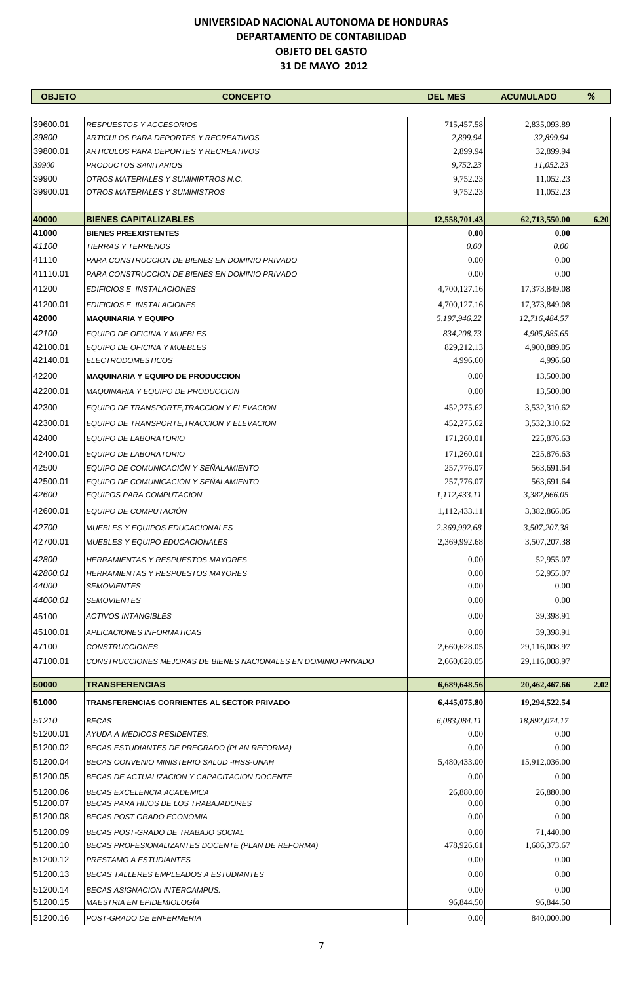| <b>OBJETO</b>     | <b>CONCEPTO</b>                                                                | <b>DEL MES</b>       | <b>ACUMULADO</b>       | %    |
|-------------------|--------------------------------------------------------------------------------|----------------------|------------------------|------|
|                   |                                                                                |                      |                        |      |
| 39600.01          | <b>RESPUESTOS Y ACCESORIOS</b>                                                 | 715,457.58           | 2,835,093.89           |      |
| 39800<br>39800.01 | ARTICULOS PARA DEPORTES Y RECREATIVOS<br>ARTICULOS PARA DEPORTES Y RECREATIVOS | 2,899.94             | 32,899.94              |      |
| 39900             | <b>PRODUCTOS SANITARIOS</b>                                                    | 2,899.94<br>9,752.23 | 32,899.94<br>11,052.23 |      |
| 39900             | OTROS MATERIALES Y SUMINIRTROS N.C.                                            | 9,752.23             | 11,052.23              |      |
| 39900.01          | OTROS MATERIALES Y SUMINISTROS                                                 | 9,752.23             | 11,052.23              |      |
|                   |                                                                                |                      |                        |      |
| 40000             | <b>BIENES CAPITALIZABLES</b>                                                   | 12,558,701.43        | 62,713,550.00          | 6.20 |
| 41000             | <b>BIENES PREEXISTENTES</b>                                                    | 0.00                 | 0.00                   |      |
| 41100             | <b>TIERRAS Y TERRENOS</b>                                                      | 0.00                 | 0.00                   |      |
| 41110             | PARA CONSTRUCCION DE BIENES EN DOMINIO PRIVADO                                 | 0.00                 | 0.00                   |      |
| 41110.01          | PARA CONSTRUCCION DE BIENES EN DOMINIO PRIVADO                                 | 0.00                 | 0.00                   |      |
| 41200             | EDIFICIOS E INSTALACIONES                                                      | 4,700,127.16         | 17,373,849.08          |      |
| 41200.01          | EDIFICIOS E INSTALACIONES                                                      | 4,700,127.16         | 17,373,849.08          |      |
| 42000             | <b>MAQUINARIA Y EQUIPO</b>                                                     | 5,197,946.22         | 12,716,484.57          |      |
| 42100             | EQUIPO DE OFICINA Y MUEBLES                                                    | 834,208.73           | 4,905,885.65           |      |
| 42100.01          | EQUIPO DE OFICINA Y MUEBLES                                                    | 829,212.13           | 4,900,889.05           |      |
| 42140.01          | <b>ELECTRODOMESTICOS</b>                                                       | 4,996.60             | 4,996.60               |      |
| 42200             | <b>MAQUINARIA Y EQUIPO DE PRODUCCION</b>                                       | 0.00                 | 13,500.00              |      |
| 42200.01          | <b>MAQUINARIA Y EQUIPO DE PRODUCCION</b>                                       | 0.00                 | 13,500.00              |      |
| 42300             | EQUIPO DE TRANSPORTE, TRACCION Y ELEVACION                                     | 452,275.62           | 3,532,310.62           |      |
| 42300.01          | EQUIPO DE TRANSPORTE, TRACCION Y ELEVACION                                     | 452,275.62           | 3,532,310.62           |      |
| 42400             | EQUIPO DE LABORATORIO                                                          | 171,260.01           | 225,876.63             |      |
| 42400.01          | <b>EQUIPO DE LABORATORIO</b>                                                   | 171,260.01           | 225,876.63             |      |
| 42500             | EQUIPO DE COMUNICACIÓN Y SEÑALAMIENTO                                          | 257,776.07           | 563,691.64             |      |
| 42500.01          | EQUIPO DE COMUNICACIÓN Y SEÑALAMIENTO                                          | 257,776.07           | 563,691.64             |      |
| 42600             | EQUIPOS PARA COMPUTACION                                                       | 1,112,433.11         | 3,382,866.05           |      |
| 42600.01          | EQUIPO DE COMPUTACIÓN                                                          | 1,112,433.11         | 3,382,866.05           |      |
| 42700             | <b>MUEBLES Y EQUIPOS EDUCACIONALES</b>                                         | 2,369,992.68         | 3,507,207.38           |      |
| 42700.01          | <b>MUEBLES Y EQUIPO EDUCACIONALES</b>                                          | 2,369,992.68         | 3,507,207.38           |      |
| 42800             | <b>HERRAMIENTAS Y RESPUESTOS MAYORES</b>                                       | 0.00                 | 52,955.07              |      |
| 42800.01          | HERRAMIENTAS Y RESPUESTOS MAYORES                                              | 0.00                 | 52,955.07              |      |
| 44000             | <b>SEMOVIENTES</b>                                                             | 0.00                 | 0.00                   |      |
| 44000.01          | <b>SEMOVIENTES</b>                                                             | 0.00                 | 0.00                   |      |
| 45100             | <b>ACTIVOS INTANGIBLES</b>                                                     | 0.00                 | 39,398.91              |      |
| 45100.01          | <b>APLICACIONES INFORMATICAS</b>                                               | 0.00                 | 39,398.91              |      |
| 47100             | <b>CONSTRUCCIONES</b>                                                          | 2,660,628.05         | 29,116,008.97          |      |
| 47100.01          | CONSTRUCCIONES MEJORAS DE BIENES NACIONALES EN DOMINIO PRIVADO                 | 2,660,628.05         | 29,116,008.97          |      |
| 50000             | <b>TRANSFERENCIAS</b>                                                          | 6,689,648.56         | 20,462,467.66          | 2.02 |
| 51000             | TRANSFERENCIAS CORRIENTES AL SECTOR PRIVADO                                    | 6,445,075.80         | 19,294,522.54          |      |
| 51210             | <b>BECAS</b>                                                                   | 6,083,084.11         | 18,892,074.17          |      |
| 51200.01          | AYUDA A MEDICOS RESIDENTES.                                                    | 0.00                 | 0.00                   |      |
| 51200.02          | BECAS ESTUDIANTES DE PREGRADO (PLAN REFORMA)                                   | 0.00                 | 0.00                   |      |
| 51200.04          | BECAS CONVENIO MINISTERIO SALUD -IHSS-UNAH                                     | 5,480,433.00         | 15,912,036.00          |      |
| 51200.05          | BECAS DE ACTUALIZACION Y CAPACITACION DOCENTE                                  | 0.00                 | 0.00                   |      |
| 51200.06          | <b>BECAS EXCELENCIA ACADEMICA</b>                                              | 26,880.00            | 26,880.00              |      |
| 51200.07          | BECAS PARA HIJOS DE LOS TRABAJADORES                                           | 0.00                 | 0.00                   |      |
| 51200.08          | <b>BECAS POST GRADO ECONOMIA</b>                                               | 0.00                 | 0.00                   |      |
| 51200.09          | BECAS POST-GRADO DE TRABAJO SOCIAL                                             | 0.00                 | 71,440.00              |      |
| 51200.10          | BECAS PROFESIONALIZANTES DOCENTE (PLAN DE REFORMA)                             | 478,926.61           | 1,686,373.67           |      |
| 51200.12          | PRESTAMO A ESTUDIANTES                                                         | 0.00                 | 0.00                   |      |
| 51200.13          | <b>BECAS TALLERES EMPLEADOS A ESTUDIANTES</b>                                  | 0.00                 | 0.00                   |      |
| 51200.14          | <b>BECAS ASIGNACION INTERCAMPUS.</b>                                           | 0.00                 | 0.00                   |      |
| 51200.15          | <b>MAESTRIA EN EPIDEMIOLOGÍA</b>                                               | 96,844.50            | 96,844.50              |      |
| 51200.16          | POST-GRADO DE ENFERMERIA                                                       | 0.00                 | 840,000.00             |      |